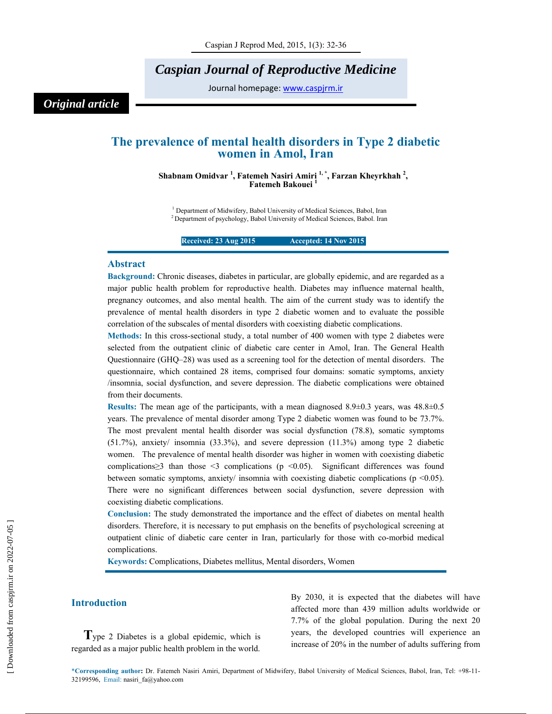# *Caspian Journal of Reproductive Medicine*

Journal homepage: www.caspjrm.ir

# *Original article*

## **The prevalence of mental health disorders in Type 2 diabetic women in Amol, Iran**

**Shabnam Omidvar 1 , Fatemeh Nasiri Amiri 1, \*, Farzan Kheyrkhah 2 , Fatemeh Bakouei 1** 

<sup>1</sup> Department of Midwifery, Babol University of Medical Sciences, Babol, Iran 2 Department of psychology, Babol University of Medical Sciences, Babol. Iran

**Received: 23 Aug 2015 14 Nov 2015** 

### **Abstract**

**Background:** Chronic diseases, diabetes in particular, are globally epidemic, and are regarded as a major public health problem for reproductive health. Diabetes may influence maternal health, pregnancy outcomes, and also mental health. The aim of the current study was to identify the prevalence of mental health disorders in type 2 diabetic women and to evaluate the possible correlation of the subscales of mental disorders with coexisting diabetic complications.

**Methods:** In this cross-sectional study, a total number of 400 women with type 2 diabetes were selected from the outpatient clinic of diabetic care center in Amol, Iran. The General Health Questionnaire (GHQ–28) was used as a screening tool for the detection of mental disorders. The questionnaire, which contained 28 items, comprised four domains: somatic symptoms, anxiety /insomnia, social dysfunction, and severe depression. The diabetic complications were obtained from their documents.

**Results:** The mean age of the participants, with a mean diagnosed 8.9±0.3 years, was 48.8±0.5 years. The prevalence of mental disorder among Type 2 diabetic women was found to be 73.7%. The most prevalent mental health disorder was social dysfunction (78.8), somatic symptoms (51.7%), anxiety/ insomnia (33.3%), and severe depression (11.3%) among type 2 diabetic women. The prevalence of mental health disorder was higher in women with coexisting diabetic complications≥3 than those <3 complications (p <0.05). Significant differences was found between somatic symptoms, anxiety/ insomnia with coexisting diabetic complications (p <0.05). There were no significant differences between social dysfunction, severe depression with coexisting diabetic complications.

**Conclusion:** The study demonstrated the importance and the effect of diabetes on mental health disorders. Therefore, it is necessary to put emphasis on the benefits of psychological screening at outpatient clinic of diabetic care center in Iran, particularly for those with co-morbid medical complications.

**Keywords:** Complications, Diabetes mellitus, Mental disorders, Women

### **Introduction**

**T**ype 2 Diabetes is a global epidemic, which is regarded as a major public health problem in the world.

By 2030, it is expected that the diabetes will have affected more than 439 million adults worldwide or 7.7% of the global population. During the next 20 years, the developed countries will experience an increase of 20% in the number of adults suffering from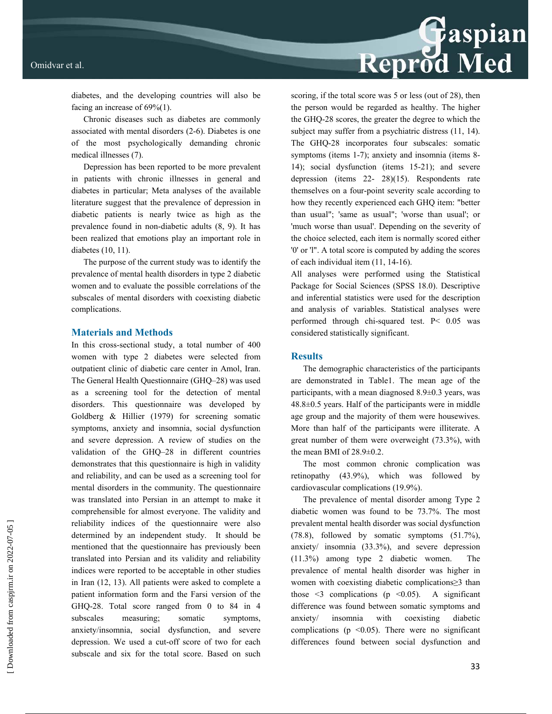# Reprod Med

diabetes, and the developing countries will also be facing an increase of 69%(1).

Chronic diseases such as diabetes are commonly associated with mental disorders (2-6). Diabetes is one of the most psychologically demanding chronic medical illnesses (7).

Depression has been reported to be more prevalent in patients with chronic illnesses in general and diabetes in particular; Meta analyses of the available literature suggest that the prevalence of depression in diabetic patients is nearly twice as high as the prevalence found in non-diabetic adults (8, 9). It has been realized that emotions play an important role in diabetes (10, 11).

The purpose of the current study was to identify the prevalence of mental health disorders in type 2 diabetic women and to evaluate the possible correlations of the subscales of mental disorders with coexisting diabetic complications.

### **Materials and Methods**

In this cross-sectional study, a total number of 400 women with type 2 diabetes were selected from outpatient clinic of diabetic care center in Amol, Iran. The General Health Questionnaire (GHQ–28) was used as a screening tool for the detection of mental disorders. This questionnaire was developed by Goldberg & Hillier (1979) for screening somatic symptoms, anxiety and insomnia, social dysfunction and severe depression. A review of studies on the validation of the GHQ–28 in different countries demonstrates that this questionnaire is high in validity and reliability, and can be used as a screening tool for mental disorders in the community. The questionnaire was translated into Persian in an attempt to make it comprehensible for almost everyone. The validity and reliability indices of the questionnaire were also determined by an independent study. It should be mentioned that the questionnaire has previously been translated into Persian and its validity and reliability indices were reported to be acceptable in other studies in Iran (12, 13). All patients were asked to complete a patient information form and the Farsi version of the GHQ-28. Total score ranged from 0 to 84 in 4 subscales measuring; somatic symptoms, anxiety/insomnia, social dysfunction, and severe depression. We used a cut-off score of two for each subscale and six for the total score. Based on such

scoring, if the total score was 5 or less (out of 28), then the person would be regarded as healthy. The higher the GHQ-28 scores, the greater the degree to which the subject may suffer from a psychiatric distress  $(11, 14)$ . The GHQ-28 incorporates four subscales: somatic symptoms (items 1-7); anxiety and insomnia (items 8-14); social dysfunction (items 15-21); and severe depression (items 22- 28)(15). Respondents rate themselves on a four-point severity scale according to how they recently experienced each GHQ item: "better than usual"; 'same as usual"; 'worse than usual'; or 'much worse than usual'. Depending on the severity of the choice selected, each item is normally scored either '0' or 'l". A total score is computed by adding the scores of each individual item (11, 14-16).

All analyses were performed using the Statistical Package for Social Sciences (SPSS 18.0). Descriptive and inferential statistics were used for the description and analysis of variables. Statistical analyses were performed through chi-squared test. P< 0.05 was considered statistically significant.

### **Results**

The demographic characteristics of the participants are demonstrated in Table1. The mean age of the participants, with a mean diagnosed 8.9±0.3 years, was 48.8±0.5 years. Half of the participants were in middle age group and the majority of them were housewives. More than half of the participants were illiterate. A great number of them were overweight (73.3%), with the mean BMI of 28.9±0.2.

The most common chronic complication was retinopathy (43.9%), which was followed by cardiovascular complications (19.9%).

The prevalence of mental disorder among Type 2 diabetic women was found to be 73.7%. The most prevalent mental health disorder was social dysfunction (78.8), followed by somatic symptoms (51.7%), anxiety/ insomnia (33.3%), and severe depression (11.3%) among type 2 diabetic women. The prevalence of mental health disorder was higher in women with coexisting diabetic complications≥3 than those  $\leq$  complications (p  $\leq$  0.05). A significant difference was found between somatic symptoms and anxiety/ insomnia with coexisting diabetic complications ( $p \le 0.05$ ). There were no significant differences found between social dysfunction and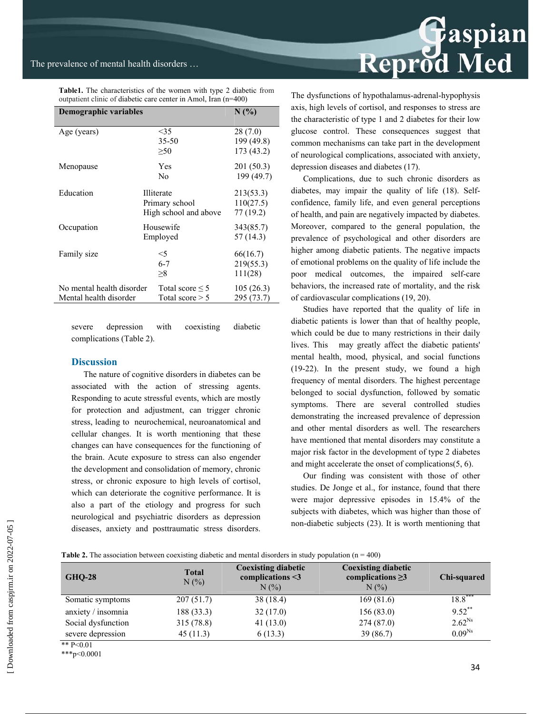| outpatient clinic of diabetic care center in Amol, Iran (n=400) |                                                              |                                     |  |  |  |  |
|-----------------------------------------------------------------|--------------------------------------------------------------|-------------------------------------|--|--|--|--|
| Demographic variables                                           | $N(\%)$                                                      |                                     |  |  |  |  |
| Age (years)                                                     | <35<br>$35 - 50$<br>>50                                      | 28(7.0)<br>199 (49.8)<br>173 (43.2) |  |  |  |  |
| Menopause                                                       | Yes<br>N <sub>0</sub>                                        | 201 (50.3)<br>199 (49.7)            |  |  |  |  |
| Education                                                       | <b>Illiterate</b><br>Primary school<br>High school and above | 213(53.3)<br>110(27.5)<br>77 (19.2) |  |  |  |  |
| Occupation                                                      | Housewife<br>Employed                                        | 343(85.7)<br>57 (14.3)              |  |  |  |  |
| Family size                                                     | $<$ 5<br>$6 - 7$<br>$\geq 8$                                 | 66(16.7)<br>219(55.3)<br>111(28)    |  |  |  |  |
| No mental health disorder<br>Mental health disorder             | Total score $\leq 5$<br>Total score $> 5$                    | 105(26.3)<br>295 (73.7)             |  |  |  |  |

**Table1.** The characteristics of the women with type 2 diabetic from

severe depression with coexisting diabetic complications (Table 2).

### **Discussion**

The nature of cognitive disorders in diabetes can be associated with the action of stressing agents. Responding to acute stressful events, which are mostly for protection and adjustment, can trigger chronic stress, leading to neurochemical, neuroanatomical and cellular changes. It is worth mentioning that these changes can have consequences for the functioning of the brain. Acute exposure to stress can also engender the development and consolidation of memory, chronic stress, or chronic exposure to high levels of cortisol, which can deteriorate the cognitive performance. It is also a part of the etiology and progress for such neurological and psychiatric disorders as depression diseases, anxiety and posttraumatic stress disorders.



The dysfunctions of hypothalamus-adrenal-hypophysis axis, high levels of cortisol, and responses to stress are the characteristic of type 1 and 2 diabetes for their low glucose control. These consequences suggest that common mechanisms can take part in the development of neurological complications, associated with anxiety, depression diseases and diabetes (17).

Complications, due to such chronic disorders as diabetes, may impair the quality of life (18). Selfconfidence, family life, and even general perceptions of health, and pain are negatively impacted by diabetes. Moreover, compared to the general population, the prevalence of psychological and other disorders are higher among diabetic patients. The negative impacts of emotional problems on the quality of life include the poor medical outcomes, the impaired self-care behaviors, the increased rate of mortality, and the risk of cardiovascular complications (19, 20).

Studies have reported that the quality of life in diabetic patients is lower than that of healthy people, which could be due to many restrictions in their daily lives. This may greatly affect the diabetic patients' mental health, mood, physical, and social functions (19-22). In the present study, we found a high frequency of mental disorders. The highest percentage belonged to social dysfunction, followed by somatic symptoms. There are several controlled studies demonstrating the increased prevalence of depression and other mental disorders as well. The researchers have mentioned that mental disorders may constitute a major risk factor in the development of type 2 diabetes and might accelerate the onset of complications(5, 6).

Our finding was consistent with those of other studies. De Jonge et al., for instance, found that there were major depressive episodes in 15.4% of the subjects with diabetes, which was higher than those of non-diabetic subjects (23). It is worth mentioning that

| <b>Table 2.</b> The association between coexisting diabetic and mental disorders in study population $(n = 400)$ |  |  |
|------------------------------------------------------------------------------------------------------------------|--|--|
|                                                                                                                  |  |  |

| <b>GHQ-28</b>      | <b>Total</b><br>$N(\%)$ | <b>Coexisting diabetic</b><br>complications $\leq$ 3<br>$N(\%)$ | <b>Coexisting diabetic</b><br>complications $\geq$ 3<br>$N(\%)$ | Chi-squared |  |
|--------------------|-------------------------|-----------------------------------------------------------------|-----------------------------------------------------------------|-------------|--|
| Somatic symptoms   | 207(51.7)               | 38 (18.4)                                                       | 169(81.6)                                                       | $18.8***$   |  |
| anxiety / insomnia | 188 (33.3)              | 32(17.0)                                                        | 156(83.0)                                                       | $9.52***$   |  |
| Social dysfunction | 315(78.8)               | 41(13.0)                                                        | 274(87.0)                                                       | $2.62^{Ns}$ |  |
| severe depression  | 45(11.3)                | 6(13.3)                                                         | 39(86.7)                                                        | $0.09^{Ns}$ |  |
| ** $D \angle 0.01$ |                         |                                                                 |                                                                 |             |  |

\*\* P<0.01

\*\*\*p<0.0001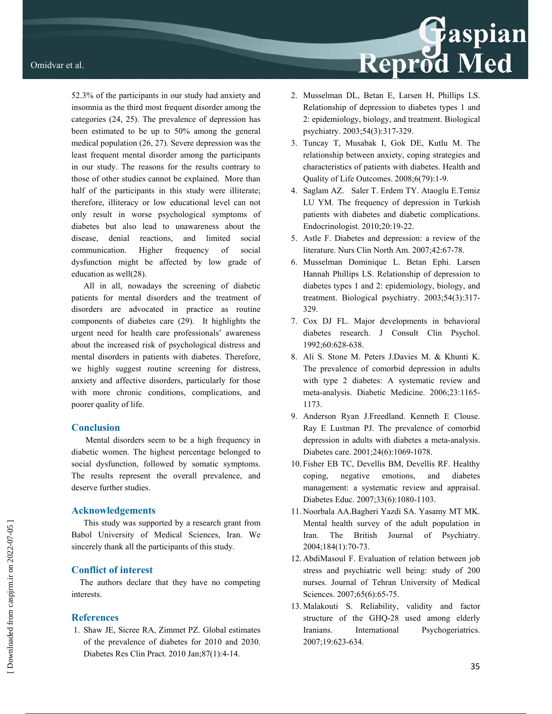52.3% of the participants in our study had anxiety and insomnia as the third most frequent disorder among the categories (24, 25). The prevalence of depression has been estimated to be up to 50% among the general medical population (26, 27). Severe depression was the least frequent mental disorder among the participants in our study. The reasons for the results contrary to those of other studies cannot be explained. More than half of the participants in this study were illiterate; therefore, illiteracy or low educational level can not only result in worse psychological symptoms of diabetes but also lead to unawareness about the disease, denial reactions, and limited social communication. Higher frequency of social dysfunction might be affected by low grade of education as well(28).

All in all, nowadays the screening of diabetic patients for mental disorders and the treatment of disorders are advocated in practice as routine components of diabetes care (29). It highlights the urgent need for health care professionals' awareness about the increased risk of psychological distress and mental disorders in patients with diabetes. Therefore, we highly suggest routine screening for distress, anxiety and affective disorders, particularly for those with more chronic conditions, complications, and poorer quality of life.

### **Conclusion**

Mental disorders seem to be a high frequency in diabetic women. The highest percentage belonged to social dysfunction, followed by somatic symptoms. The results represent the overall prevalence, and deserve further studies.

### **Acknowledgements**

This study was supported by a research grant from Babol University of Medical Sciences, Iran. We sincerely thank all the participants of this study.

### **Conflict of interest**

 The authors declare that they have no competing interests.

### **References**

 1. Shaw JE, Sicree RA, Zimmet PZ. Global estimates of the prevalence of diabetes for 2010 and 2030. Diabetes Res Clin Pract. 2010 Jan;87(1):4-14.

2. Musselman DL, Betan E, Larsen H, Phillips LS. Relationship of depression to diabetes types 1 and 2: epidemiology, biology, and treatment. Biological psychiatry. 2003;54(3):317-329.

Reprod Med

- 3. Tuncay T, Musabak I, Gok DE, Kutlu M. The relationship between anxiety, coping strategies and characteristics of patients with diabetes. Health and Quality of Life Outcomes. 2008;6(79):1-9.
- 4. Saglam AZ. Saler T. Erdem TY. Ataoglu E.Temiz LU YM. The frequency of depression in Turkish patients with diabetes and diabetic complications. Endocrinologist. 2010;20:19-22.
- 5. Astle F. Diabetes and depression: a review of the literature. Nurs Clin North Am. 2007;42:67-78.
- 6. Musselman Dominique L. Betan Ephi. Larsen Hannah Phillips LS. Relationship of depression to diabetes types 1 and 2: epidemiology, biology, and treatment. Biological psychiatry. 2003;54(3):317- 329.
- 7. Cox DJ FL. Major developments in behavioral diabetes research. J Consult Clin Psychol. 1992;60:628-638.
- 8. Ali S. Stone M. Peters J.Davies M. & Khunti K. The prevalence of comorbid depression in adults with type 2 diabetes: A systematic review and meta-analysis. Diabetic Medicine. 2006;23:1165- 1173.
- 9. Anderson Ryan J.Freedland. Kenneth E Clouse. Ray E Lustman PJ. The prevalence of comorbid depression in adults with diabetes a meta-analysis. Diabetes care. 2001;24(6):1069-1078.
- 10. Fisher EB TC, Devellis BM, Devellis RF. Healthy coping, negative emotions, and diabetes management: a systematic review and appraisal. Diabetes Educ. 2007;33(6):1080-1103.
- 11. Noorbala AA.Bagheri Yazdi SA. Yasamy MT MK. Mental health survey of the adult population in Iran. The British Journal of Psychiatry. 2004;184(1):70-73.
- 12. AbdiMasoul F. Evaluation of relation between job stress and psychiatric well being: study of 200 nurses. Journal of Tehran University of Medical Sciences. 2007;65(6):65-75.
- 13. Malakouti S. Reliability, validity and factor structure of the GHQ-28 used among elderly Iranians. International Psychogeriatrics. 2007;19:623-634.